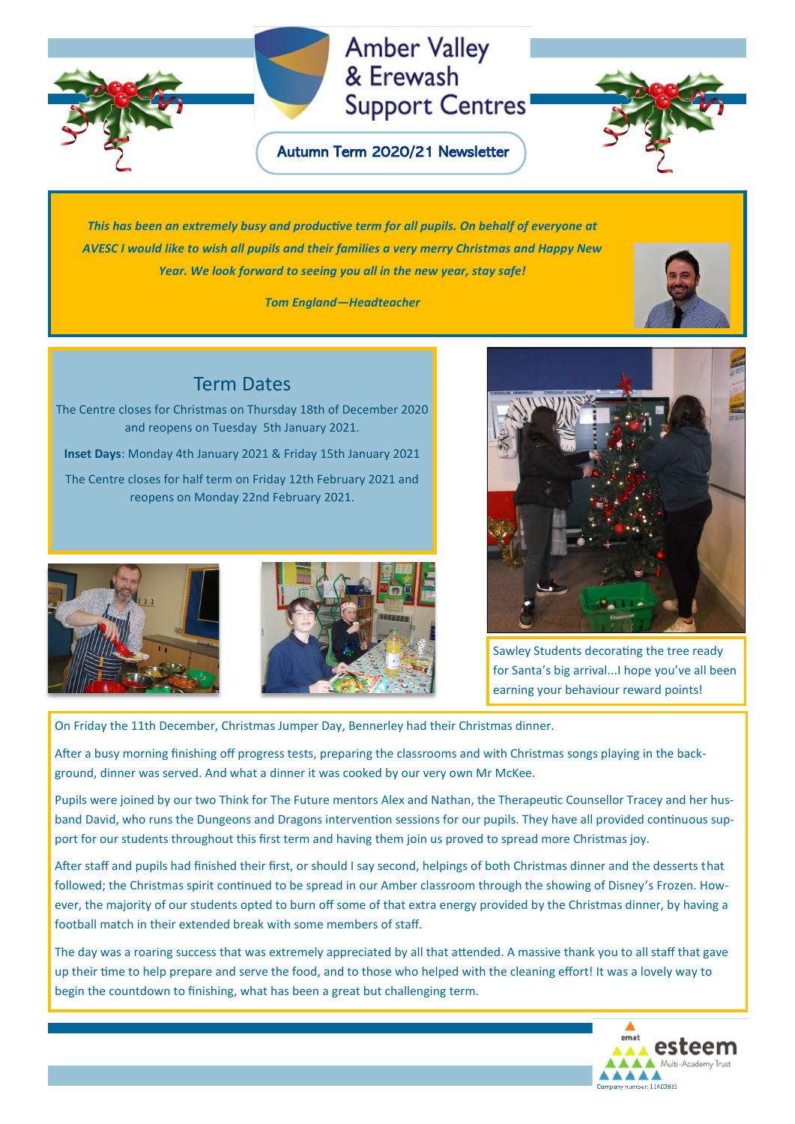# **Amber Valley** & Erewash **Support Centres**

Autumn Term 2020/21 Newsletter



*This has been an extremely busy and productive term for all pupils. On behalf of everyone at AVESC I would like to wish all pupils and their families a very merry Christmas and Happy New Year. We look forward to seeing you all in the new year, stay safe!*

*Tom England—Headteacher*



The Centre closes for Christmas on Thursday 18th of December 2020 and reopens on Tuesday 5th January 2021.

**Inset Days**: Monday 4th January 2021 & Friday 15th January 2021

The Centre closes for half term on Friday 12th February 2021 and reopens on Monday 22nd February 2021.





Sawley Students decorating the tree ready for Santa's big arrival...I hope you've all been earning your behaviour reward points!

On Friday the 11th December, Christmas Jumper Day, Bennerley had their Christmas dinner.

After a busy morning finishing off progress tests, preparing the classrooms and with Christmas songs playing in the background, dinner was served. And what a dinner it was cooked by our very own Mr McKee.

Pupils were joined by our two Think for The Future mentors Alex and Nathan, the Therapeutic Counsellor Tracey and her husband David, who runs the Dungeons and Dragons intervention sessions for our pupils. They have all provided continuous support for our students throughout this first term and having them join us proved to spread more Christmas joy.

After staff and pupils had finished their first, or should I say second, helpings of both Christmas dinner and the desserts that followed; the Christmas spirit continued to be spread in our Amber classroom through the showing of Disney's Frozen. However, the majority of our students opted to burn off some of that extra energy provided by the Christmas dinner, by having a football match in their extended break with some members of staff.

The day was a roaring success that was extremely appreciated by all that attended. A massive thank you to all staff that gave up their time to help prepare and serve the food, and to those who helped with the cleaning effort! It was a lovely way to begin the countdown to finishing, what has been a great but challenging term.

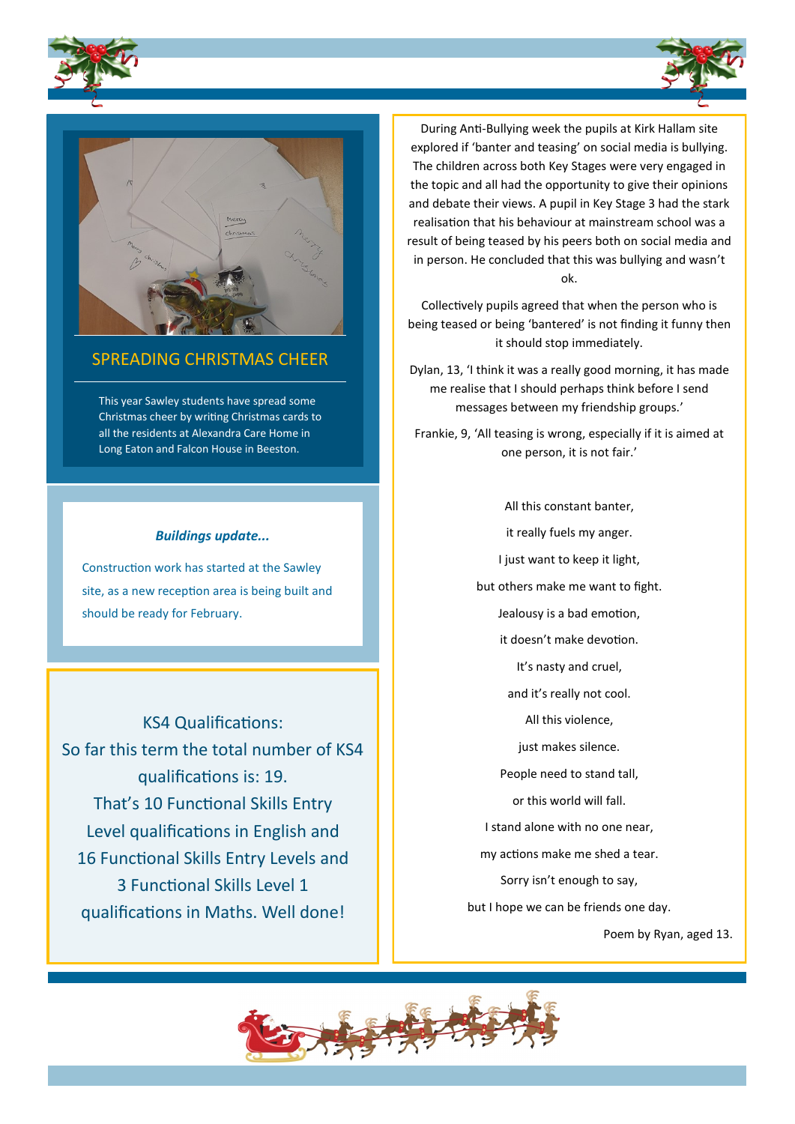





## SPREADING CHRISTMAS CHEER

This year Sawley students have spread some Christmas cheer by writing Christmas cards to all the residents at Alexandra Care Home in Long Eaton and Falcon House in Beeston.

## *Buildings update...*

Construction work has started at the Sawley site, as a new reception area is being built and should be ready for February.

KS4 Qualifications: So far this term the total number of KS4 qualifications is: 19. That's 10 Functional Skills Entry Level qualifications in English and 16 Functional Skills Entry Levels and 3 Functional Skills Level 1 qualifications in Maths. Well done!

During Anti-Bullying week the pupils at Kirk Hallam site explored if 'banter and teasing' on social media is bullying. The children across both Key Stages were very engaged in the topic and all had the opportunity to give their opinions and debate their views. A pupil in Key Stage 3 had the stark realisation that his behaviour at mainstream school was a result of being teased by his peers both on social media and in person. He concluded that this was bullying and wasn't ok.

Collectively pupils agreed that when the person who is being teased or being 'bantered' is not finding it funny then it should stop immediately.

Dylan, 13, 'I think it was a really good morning, it has made me realise that I should perhaps think before I send messages between my friendship groups.'

Frankie, 9, 'All teasing is wrong, especially if it is aimed at one person, it is not fair.'

> All this constant banter, it really fuels my anger. I just want to keep it light, but others make me want to fight. Jealousy is a bad emotion, it doesn't make devotion. It's nasty and cruel, and it's really not cool. All this violence, just makes silence. People need to stand tall, or this world will fall. I stand alone with no one near, my actions make me shed a tear. Sorry isn't enough to say, but I hope we can be friends one day.

> > Poem by Ryan, aged 13.